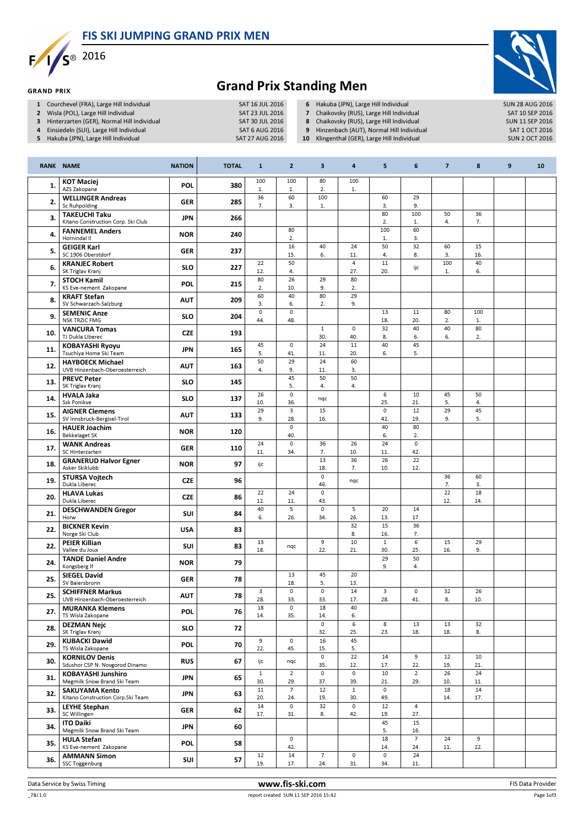FIS SKI JUMPING GRAND PRIX MEN



**GRAND PRIX** 



## Grand Prix Standing Men

- 1 Courchevel (FRA), Large Hill Individual SAT 16 JUL 2016<br>2 Wisla (POL), Large Hill Individual SAT 23 JUL 2016
- 2 Wisla (POL), Large Hill Individual SAT 23 JUL 2016<br>3 Hinterzarten (GER), Normal Hill Individual SAT 30 JUL 2016
- 3 Hinterzarten (GER), Normal Hill Individual SAT 30 JUL 2016<br>4 Einsiedeln (SUI), Large Hill Individual SAT 6 AUG 2016
- 4 Einsiedeln (SUI), Large Hill Individual SAT 6 AUG 2016<br>1991 SAT 6 AUG 2016 SAT 27 AUG 2016
- 5 Hakuba (JPN), Large Hill Individual
- 6 Hakuba (JPN), Large Hill Individual SUN 28 AUG 2016<br>
7 Chaikovsky (RUS), Large Hill Individual SAT 10 SEP 2016
- 7 Chaikovsky (RUS), Large Hill Individual SAT 10 SEP 2016<br>
8 Chaikovsky (RUS), Large Hill Individual SUN 11 SEP 2016
- 8 Chaikovsky (RUS), Large Hill Individual SUN 11 SEP 2016<br>19 Hinzenbach (AUT), Normal Hill Individual SAT 1 OCT 2016
- 9 Hinzenbach (AUT), Normal Hill Individual SAT 1 OCT 2016<br>10 Klingenthal (GER), Large Hill Individual SUN 2 OCT 2016
- 10 Klingenthal (GER), Large Hill Individual

|     | <b>RANK NAME</b>                                                                  | <b>NATION</b> | <b>TOTAL</b> | $\mathbf{1}$               | $\overline{2}$             | 3                          | 4                              | 5                          | 6                      | $\overline{\mathbf{z}}$ | 8         | 9 | 10 |
|-----|-----------------------------------------------------------------------------------|---------------|--------------|----------------------------|----------------------------|----------------------------|--------------------------------|----------------------------|------------------------|-------------------------|-----------|---|----|
| 1.  | <b>KOT Maciej</b><br>AZS Zakopane                                                 | <b>POL</b>    | 380          | 100<br>1.                  | 100<br>1.                  | 80<br>2.                   | 100<br>1.                      |                            |                        |                         |           |   |    |
| 2.  | <b>WELLINGER Andreas</b><br>Sc Ruhpolding                                         | <b>GER</b>    | 285          | 36<br>7.                   | 60<br>3.                   | 100<br>1.                  |                                | 60<br>3.                   | 29<br>9.               |                         |           |   |    |
| 3.  | <b>TAKEUCHI Taku</b><br>Kitano Construction Corp. Ski Club                        | <b>JPN</b>    | 266          |                            |                            |                            |                                | 80<br>2.                   | 100<br>1.              | 50<br>4.                | 36<br>7.  |   |    |
| 4.  | <b>FANNEMEL Anders</b><br>Hornindal II                                            | <b>NOR</b>    | 240          |                            | 80<br>2.                   |                            |                                | 100<br>$1.$                | 60<br>3.               |                         |           |   |    |
| 5.  | <b>GEIGER Karl</b><br>SC 1906 Oberstdorf                                          | GER           | 237          |                            | 16<br>15.                  | 40<br>6.                   | 24<br>11.                      | 50<br>4.                   | 32<br>8.               | 60<br>3.                | 15<br>16. |   |    |
| 6.  | <b>KRANJEC Robert</b><br>SK Triglav Kranj                                         | <b>SLO</b>    | 227          | 22<br>12.                  | 50<br>4.                   |                            | $\overline{\mathbf{4}}$<br>27. | 11<br>20.                  | ijc                    | 100<br>1.               | 40<br>6.  |   |    |
| 7.  | <b>STOCH Kamil</b><br>KS Eve-nement Zakopane                                      | <b>POL</b>    | 215          | 80<br>2.                   | 26<br>10.                  | 29<br>9.                   | 80<br>2.                       |                            |                        |                         |           |   |    |
| 8.  | <b>KRAFT Stefan</b><br>SV Schwarzach-Salzburg                                     | <b>AUT</b>    | 209          | 60<br>3.                   | 40<br>6.                   | 80<br>2.                   | 29<br>9.                       |                            |                        |                         |           |   |    |
| 9.  | <b>SEMENIC Anze</b><br><b>NSK TRZIC FMG</b>                                       | <b>SLO</b>    | 204          | $\mathsf{O}\xspace$<br>44. | $\circ$<br>48.             |                            |                                | 13<br>18.                  | 11<br>20.              | 80<br>2.                | 100<br>1. |   |    |
| 10. | <b>VANCURA Tomas</b><br>TJ Dukla Liberec                                          | <b>CZE</b>    | 193          |                            |                            | $\mathbf{1}$<br>30.        | $\mathsf 0$<br>40.             | 32<br>8.                   | 40<br>6.               | 40<br>6.                | 80<br>2.  |   |    |
| 11. | <b>KOBAYASHI Ryoyu</b><br>Tsuchiya Home Ski Team                                  | <b>JPN</b>    | 165          | 45<br>5.                   | $\circ$<br>41.             | 24<br>11.                  | 11<br>20.                      | 40<br>6.                   | 45<br>5.               |                         |           |   |    |
| 12. | <b>HAYBOECK Michael</b><br>UVB Hinzenbach-Oberoesterreich                         | <b>AUT</b>    | 163          | 50<br>4.                   | 29<br>9.                   | 24<br>11.                  | 60<br>3.                       |                            |                        |                         |           |   |    |
| 13. | <b>PREVC Peter</b><br>SK Triglav Kranj                                            | <b>SLO</b>    | 145          |                            | 45<br>5.                   | 50<br>4.                   | 50<br>4.                       |                            |                        |                         |           |   |    |
| 14. | <b>HVALA Jaka</b><br>Ssk Ponikve                                                  | <b>SLO</b>    | 137          | 26<br>10.                  | $\mathsf{O}\xspace$<br>36. | nqc                        |                                | 6<br>25.                   | 10<br>21.              | 45<br>5.                | 50<br>4.  |   |    |
| 15. | <b>AIGNER Clemens</b><br>SV Innsbruck-Bergisel-Tirol                              | <b>AUT</b>    | 133          | 29<br>9.                   | 3<br>28.                   | 15<br>16.                  |                                | $\mathsf{o}$<br>42.        | 12<br>19.              | 29<br>9.                | 45<br>5.  |   |    |
| 16. | <b>HAUER Joachim</b><br><b>Bekkelaget SK</b>                                      | <b>NOR</b>    | 120          |                            | $\mathsf{o}$<br>40.        |                            |                                | 40<br>6.                   | 80<br>2.               |                         |           |   |    |
| 17. | <b>WANK Andreas</b><br>SC Hinterzarten                                            | <b>GER</b>    | 110          | 24<br>11.                  | $\circ$<br>34.             | 36<br>7.                   | 26<br>10.                      | 24<br>11.                  | $\mathbf 0$<br>42.     |                         |           |   |    |
| 18. | <b>GRANERUD Halvor Egner</b><br>Asker Skiklubb                                    | <b>NOR</b>    | 97           | ijc                        |                            | 13<br>18.                  | 36<br>7.                       | 26<br>10.                  | 22<br>12.              |                         |           |   |    |
| 19. | <b>STURSA Vojtech</b><br>Dukla Liberec                                            | <b>CZE</b>    | 96           |                            |                            | $\Omega$<br>46.            | nqc                            |                            |                        | 36<br>7.                | 60<br>3.  |   |    |
| 20. | <b>HLAVA Lukas</b><br>Dukla Liberec                                               | <b>CZE</b>    | 86           | 22<br>12.                  | 24<br>11.                  | $\mathsf{O}\xspace$<br>43. |                                |                            |                        | 22<br>12.               | 18<br>14. |   |    |
| 21. | <b>DESCHWANDEN Gregor</b><br>Horw                                                 | SUI           | 84           | 40<br>6.                   | 5<br>26.                   | 0<br>34.                   | 5<br>26.                       | 20<br>13.                  | 14<br>17.              |                         |           |   |    |
| 22. | <b>BICKNER Kevin</b><br>Norge Ski Club                                            | <b>USA</b>    | 83           |                            |                            |                            | 32<br>8.                       | 15<br>16.                  | 36<br>7.               |                         |           |   |    |
| 22. | <b>PEIER Killian</b><br>Vallee du Joux                                            | SUI           | 83           | 13<br>18.                  | nqc                        | 9<br>22.                   | 10<br>21.                      | $\mathbf{1}$<br>30.        | 6<br>25.               | 15<br>16.               | 29<br>9.  |   |    |
| 24. | <b>TANDE Daniel Andre</b><br>Kongsberg If                                         | <b>NOR</b>    | 79           |                            |                            |                            |                                | 29<br>9.                   | 50<br>4.               |                         |           |   |    |
| 25. | <b>SIEGEL David</b><br>SV Baiersbronn                                             | GER           | 78           |                            | 13<br>18.<br>$\circ$       | 45<br>5.<br>$\mathbf 0$    | 20<br>13.                      |                            |                        |                         |           |   |    |
| 25. | <b>SCHIFFNER Markus</b><br>UVB Hinzenbach-Oberoesterreich                         | <b>AUT</b>    | 78           | 3<br>28.                   | 33.<br>$\mathsf{O}\xspace$ | 33.                        | 14<br>17.                      | 3<br>28.                   | $\mathbf 0$<br>41.     | 32<br>8.                | 26<br>10. |   |    |
| 27. | <b>MURANKA Klemens</b><br>TS Wisla Zakopane                                       | <b>POL</b>    | 76           | 18<br>14.                  | 35.                        | 18<br>14.<br>0             | 40<br>6.<br>6                  | 8                          | 13                     | 13                      | 32        |   |    |
| 28. | <b>DEZMAN Nejc</b><br>SK Triglav Kranj<br><b>KUBACKI Dawid</b>                    | <b>SLO</b>    | 72           | 9                          | $\mathsf{O}\xspace$        | 32.<br>16                  | 25.<br>45                      | 23.                        | 18.                    | 18.                     | 8.        |   |    |
| 29. | TS Wisla Zakopane<br><b>KORNILOV Denis</b>                                        | POL           | 70           | 22.                        | 45.                        | 15.<br>$\mathsf{o}\,$      | 5.<br>22                       | 14                         | 9                      | 12                      | 10        |   |    |
| 30. | Sdushor CSP N. Novgorod Dinamo                                                    | <b>RUS</b>    | 67           | ijc<br>$\mathbf{1}$        | nqc<br>$\overline{2}$      | 35.<br>0                   | 12.<br>$\mathsf{O}\xspace$     | 17.<br>10                  | 22.<br>$\overline{2}$  | 19.<br>26               | 21.<br>24 |   |    |
| 31. | <b>KOBAYASHI Junshiro</b><br>Megmilk Snow Brand Ski Team<br><b>SAKUYAMA Kento</b> | <b>JPN</b>    | 65           | 30.<br>$11\,$              | 29.<br>$\overline{7}$      | 37.<br>12                  | 39.<br>$\mathbf{1}$            | 21.<br>$\mathsf{O}\xspace$ | 29.                    | 10.<br>18               | 11.<br>14 |   |    |
| 32. | Kitano Construction Corp.Ski Team<br><b>LEYHE Stephan</b>                         | <b>JPN</b>    | 63           | 20.<br>14                  | 24.<br>$\mathsf{O}\xspace$ | 19.<br>32                  | 30.<br>$\mathsf{O}\xspace$     | 49.<br>12                  | $\overline{4}$         | 14.                     | 17.       |   |    |
| 33. | SC Willingen<br><b>ITO Daiki</b>                                                  | GER           | 62           | 17.                        | 31.                        | 8.                         | 42.                            | 19.<br>45                  | 27.<br>15              |                         |           |   |    |
| 34. | Megmilk Snow Brand Ski Team<br><b>HULA Stefan</b>                                 | <b>JPN</b>    | 60           |                            | $\mathsf{O}\xspace$        |                            |                                | 5.<br>18                   | 16.<br>$7\overline{ }$ | 24                      | 9         |   |    |
| 35. | KS Eve-nement Zakopane<br><b>AMMANN Simon</b>                                     | <b>POL</b>    | 58           | 12                         | 42.<br>$14\,$              | $\overline{7}$             | $\mathsf{O}\xspace$            | 14.<br>$\mathsf{o}$        | 24.<br>24              | 11.                     | 22.       |   |    |
| 36. | SSC Toggenburg                                                                    | SUI           | 57           | 19.                        | 17.                        | 24.                        | 31.                            | 34.                        | 11.                    |                         |           |   |    |

Page 1of3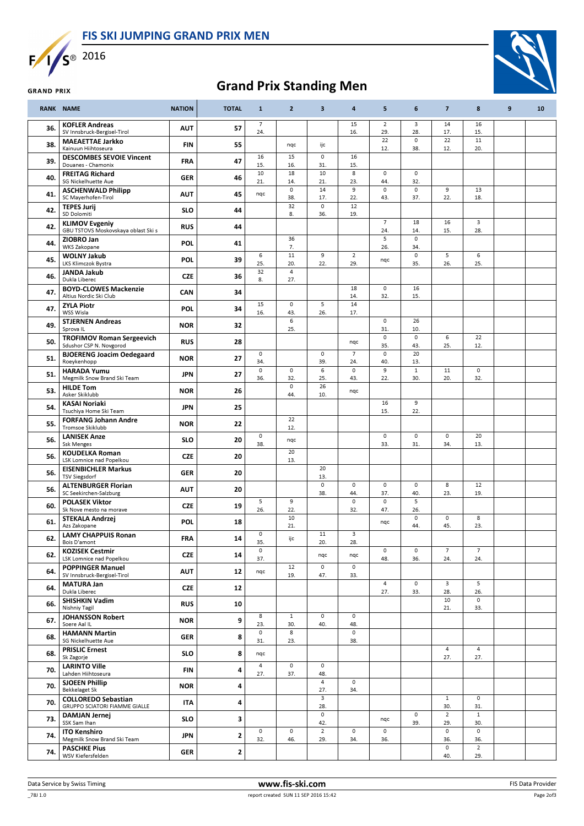



## Grand Prix Standing Men

|     | <b>RANK NAME</b>                                             | <b>NATION</b> | <b>TOTAL</b> | $\mathbf{1}$               | $\overline{2}$             | 3                      | $\overline{\mathbf{a}}$    | 5                          | 6                          | $\overline{\mathbf{z}}$    | 8                          | 9 | 10 |
|-----|--------------------------------------------------------------|---------------|--------------|----------------------------|----------------------------|------------------------|----------------------------|----------------------------|----------------------------|----------------------------|----------------------------|---|----|
| 36. | <b>KOFLER Andreas</b><br>SV Innsbruck-Bergisel-Tirol         | <b>AUT</b>    | 57           | 7<br>24.                   |                            |                        | 15<br>16.                  | $\sqrt{2}$<br>29.          | 3<br>28.                   | 14<br>17.                  | 16<br>15.                  |   |    |
| 38. | <b>MAEAETTAE Jarkko</b><br>Kainuun Hiihtoseura               | <b>FIN</b>    | 55           |                            | nqc                        | ijc                    |                            | 22<br>12.                  | $\mathbf 0$<br>38.         | 22<br>12.                  | $11\,$<br>20.              |   |    |
| 39. | <b>DESCOMBES SEVOIE Vincent</b><br>Douanes - Chamonix        | <b>FRA</b>    | 47           | 16<br>15.                  | 15<br>16.                  | $\mathsf 0$<br>31.     | 16<br>15.                  |                            |                            |                            |                            |   |    |
| 40. | <b>FREITAG Richard</b><br>SG Nickelhuette Aue                | <b>GER</b>    | 46           | 10<br>21.                  | 18<br>14.                  | 10<br>21.              | 8<br>23.                   | $\pmb{0}$<br>44.           | $\mathsf 0$<br>32.         |                            |                            |   |    |
| 41. | <b>ASCHENWALD Philipp</b><br>SC Mayerhofen-Tirol             | <b>AUT</b>    | 45           | nqc                        | $\mathsf{o}$<br>38.        | 14<br>17.              | 9<br>22.                   | $\mathbf 0$<br>43.         | $\mathsf 0$<br>37.         | 9<br>22.                   | 13<br>18.                  |   |    |
| 42. | <b>TEPES Jurij</b><br>SD Dolomiti                            | <b>SLO</b>    | 44           |                            | 32<br>8.                   | $\mathbf 0$<br>36.     | 12<br>19.                  |                            |                            |                            |                            |   |    |
| 42. | <b>KLIMOV Evgeniy</b><br>GBU TSTOVS Moskovskaya oblast Ski s | <b>RUS</b>    | 44           |                            |                            |                        |                            | $\overline{7}$<br>24.      | 18<br>14.                  | 16<br>15.                  | 3<br>28.                   |   |    |
| 44. | ZIOBRO Jan<br><b>WKS Zakopane</b>                            | <b>POL</b>    | 41           |                            | 36<br>7.                   |                        |                            | 5<br>26.                   | $\mathsf{O}\xspace$<br>34. |                            |                            |   |    |
| 45. | <b>WOLNY Jakub</b><br>LKS Klimczok Bystra                    | <b>POL</b>    | 39           | 6<br>25.                   | $11\,$<br>20.              | 9<br>22.               | $\overline{2}$<br>29.      | nqc                        | $\mathsf{O}\xspace$<br>35. | 5<br>26.                   | 6<br>25.                   |   |    |
| 46. | <b>JANDA Jakub</b><br>Dukla Liberec                          | <b>CZE</b>    | 36           | 32<br>8.                   | $\overline{4}$<br>27.      |                        |                            |                            |                            |                            |                            |   |    |
| 47. | <b>BOYD-CLOWES Mackenzie</b><br>Altius Nordic Ski Club       | CAN           | 34           |                            |                            |                        | 18<br>14.                  | $\pmb{0}$<br>32.           | 16<br>15.                  |                            |                            |   |    |
| 47. | <b>ZYLA Piotr</b><br>WSS Wisla                               | <b>POL</b>    | 34           | 15<br>16.                  | $\mathsf{O}\xspace$<br>43. | 5<br>26.               | 14<br>17.                  |                            |                            |                            |                            |   |    |
| 49. | <b>STJERNEN Andreas</b><br>Sprova <sub>IL</sub>              | <b>NOR</b>    | 32           |                            | 6<br>25.                   |                        |                            | $\mathsf 0$<br>31.         | 26<br>10.                  |                            |                            |   |    |
| 50. | <b>TROFIMOV Roman Sergeevich</b><br>Sdushor CSP N. Novgorod  | <b>RUS</b>    | 28           |                            |                            |                        | nqc                        | $\mathsf 0$<br>35.         | $\mathsf 0$<br>43.         | 6<br>25.                   | 22<br>12.                  |   |    |
| 51. | <b>BJOERENG Joacim Oedegaard</b><br>Roeykenhopp              | <b>NOR</b>    | 27           | $\mathsf 0$<br>34.         |                            | $\circ$<br>39.         | $\overline{7}$<br>24.      | $\pmb{0}$<br>40.           | 20<br>13.                  |                            |                            |   |    |
| 51. | <b>HARADA Yumu</b><br>Megmilk Snow Brand Ski Team            | <b>JPN</b>    | 27           | $\mathsf 0$<br>36.         | $\mathsf{O}\xspace$<br>32. | 6<br>25.               | $\mathsf{O}\xspace$<br>43. | 9<br>22.                   | $1\,$<br>30.               | 11<br>20.                  | $\mathsf{O}\xspace$<br>32. |   |    |
| 53. | <b>HILDE Tom</b><br>Asker Skiklubb                           | <b>NOR</b>    | 26           |                            | $\mathsf{O}\xspace$<br>44. | $\overline{26}$<br>10. | nqc                        |                            |                            |                            |                            |   |    |
| 54. | <b>KASAI Noriaki</b><br>Tsuchiya Home Ski Team               | <b>JPN</b>    | 25           |                            |                            |                        |                            | 16<br>15.                  | 9<br>22.                   |                            |                            |   |    |
| 55. | <b>FORFANG Johann Andre</b><br>Tromsoe Skiklubb              | <b>NOR</b>    | 22           |                            | 22<br>12.                  |                        |                            |                            |                            |                            |                            |   |    |
| 56. | <b>LANISEK Anze</b><br><b>Ssk Menges</b>                     | <b>SLO</b>    | 20           | $\mathsf{O}\xspace$<br>38. | nqc                        |                        |                            | $\mathsf 0$<br>33.         | $\mathbf 0$<br>31.         | $\mathsf{O}\xspace$<br>34. | 20<br>13.                  |   |    |
| 56. | <b>KOUDELKA Roman</b><br>LSK Lomnice nad Popelkou            | <b>CZE</b>    | 20           |                            | 20<br>13.                  |                        |                            |                            |                            |                            |                            |   |    |
| 56. | <b>EISENBICHLER Markus</b><br>TSV Siegsdorf                  | GER           | 20           |                            |                            | 20<br>13.              |                            |                            |                            |                            |                            |   |    |
| 56. | <b>ALTENBURGER Florian</b><br>SC Seekirchen-Salzburg         | <b>AUT</b>    | 20           |                            |                            | $\mathbf 0$<br>38.     | $\mathsf{O}\xspace$<br>44. | $\pmb{0}$<br>37.           | $\circ$<br>40.             | 8<br>23.                   | 12<br>19.                  |   |    |
| 60. | <b>POLASEK Viktor</b><br>Sk Nove mesto na morave             | <b>CZE</b>    | 19           | 5<br>26.                   | 9<br>22.                   |                        | $\mathsf{o}\,$<br>32.      | $\pmb{0}$<br>47.           | 5<br>26.                   |                            |                            |   |    |
| 61. | STEKALA Andrzej<br>Azs Zakopane                              | POL           | 18           |                            | 10<br>21.                  |                        |                            | nqc                        | $\mathbf 0$<br>44.         | $\mathsf{O}\xspace$<br>45. | 8<br>23.                   |   |    |
| 62. | <b>LAMY CHAPPUIS Ronan</b><br>Bois D'amont                   | <b>FRA</b>    | 14           | $\mathsf 0$<br>35.         | ijc                        | 11<br>20.              | 3<br>28.                   |                            |                            |                            |                            |   |    |
| 62. | <b>KOZISEK Cestmir</b><br>LSK Lomnice nad Popelkou           | <b>CZE</b>    | 14           | $\mathsf 0$<br>37.         |                            | nqc                    | nqc                        | $\mathsf{O}\xspace$<br>48. | $\mathsf{o}\,$<br>36.      | $\overline{7}$<br>24.      | $\overline{7}$<br>24.      |   |    |
| 64. | <b>POPPINGER Manuel</b><br>SV Innsbruck-Bergisel-Tirol       | <b>AUT</b>    | 12           | nqc                        | 12<br>19.                  | $\mathsf 0$<br>47.     | $\mathsf{O}\xspace$<br>33. |                            |                            |                            |                            |   |    |
| 64. | <b>MATURA Jan</b><br>Dukla Liberec                           | <b>CZE</b>    | 12           |                            |                            |                        |                            | $\overline{4}$<br>27.      | $\mathsf{O}\xspace$<br>33. | 3<br>28.                   | 5<br>26.                   |   |    |
| 66. | <b>SHISHKIN Vadim</b><br>Nishniy Tagil                       | <b>RUS</b>    | 10           |                            |                            |                        |                            |                            |                            | 10<br>21.                  | $\mathbf 0$<br>33.         |   |    |
| 67. | <b>JOHANSSON Robert</b><br>Soere Aal IL                      | <b>NOR</b>    | 9            | 8<br>23.                   | $\mathbf{1}$<br>30.        | $\mathbf 0$<br>40.     | $\mathsf{O}\xspace$<br>48. |                            |                            |                            |                            |   |    |
| 68. | <b>HAMANN Martin</b><br>SG Nickelhuette Aue                  | <b>GER</b>    | 8            | $\mathsf{O}\xspace$<br>31. | 8<br>23.                   |                        | $\mathsf{o}\,$<br>38.      |                            |                            |                            |                            |   |    |
| 68. | <b>PRISLIC Ernest</b><br>Sk Zagorje                          | <b>SLO</b>    | 8            | nqc                        |                            |                        |                            |                            |                            | $\overline{4}$<br>27.      | $\overline{4}$<br>27.      |   |    |
| 70. | <b>LARINTO Ville</b><br>Lahden Hiihtoseura                   | FIN           | 4            | 4<br>27.                   | $\mathsf{O}\xspace$<br>37. | 0<br>48.               |                            |                            |                            |                            |                            |   |    |
| 70. | <b>SJOEEN Phillip</b><br>Bekkelaget Sk                       | <b>NOR</b>    | 4            |                            |                            | 4<br>27.               | $\mathsf{O}\xspace$<br>34. |                            |                            |                            |                            |   |    |
| 70. | <b>COLLOREDO Sebastian</b><br>GRUPPO SCIATORI FIAMME GIALLE  | ITA           | 4            |                            |                            | 3<br>28.               |                            |                            |                            | $\mathbf{1}$<br>30.        | $\circ$<br>31.             |   |    |
| 73. | <b>DAMJAN Jernej</b><br>SSK Sam Ihan                         | <b>SLO</b>    | 3            |                            |                            | $\mathsf 0$<br>42.     |                            | nqc                        | $\mathsf{O}\xspace$<br>39. | $\overline{2}$<br>29.      | $\mathbf{1}$<br>30.        |   |    |
| 74. | <b>ITO Kenshiro</b><br>Megmilk Snow Brand Ski Team           | <b>JPN</b>    | $\mathbf{z}$ | $\mathsf{O}\xspace$<br>32. | $\mathsf 0$<br>46.         | $\overline{2}$<br>29.  | $\mathsf{o}\,$<br>34.      | $\mathsf 0$<br>36.         |                            | $\mathsf{O}\xspace$<br>36. | $\circ$<br>36.             |   |    |
| 74. | <b>PASCHKE Pius</b><br>WSV Kiefersfelden                     | <b>GER</b>    | $\mathbf{z}$ |                            |                            |                        |                            |                            |                            | $\mathsf{o}$<br>40.        | $\overline{2}$<br>29.      |   |    |

## **GRAND PRIX**